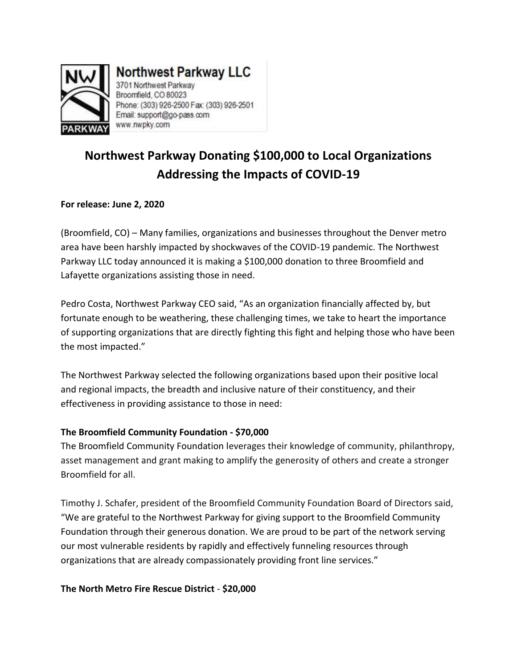

# **Northwest Parkway LLC**

3701 Northwest Parkway Broomfield, CO 80023 Phone: (303) 926-2500 Fax: (303) 926-2501 Email: support@go-pass.com www.nwpky.com

## **Northwest Parkway Donating \$100,000 to Local Organizations Addressing the Impacts of COVID-19**

### **For release: June 2, 2020**

(Broomfield, CO) – Many families, organizations and businesses throughout the Denver metro area have been harshly impacted by shockwaves of the COVID-19 pandemic. The Northwest Parkway LLC today announced it is making a \$100,000 donation to three Broomfield and Lafayette organizations assisting those in need.

Pedro Costa, Northwest Parkway CEO said, "As an organization financially affected by, but fortunate enough to be weathering, these challenging times, we take to heart the importance of supporting organizations that are directly fighting this fight and helping those who have been the most impacted."

The Northwest Parkway selected the following organizations based upon their positive local and regional impacts, the breadth and inclusive nature of their constituency, and their effectiveness in providing assistance to those in need:

#### **The Broomfield Community Foundation - \$70,000**

The Broomfield Community Foundation leverages their knowledge of community, philanthropy, asset management and grant making to amplify the generosity of others and create a stronger Broomfield for all.

Timothy J. Schafer, president of the Broomfield Community Foundation Board of Directors said, "We are grateful to the Northwest Parkway for giving support to the Broomfield Community Foundation through their generous donation. We are proud to be part of the network serving our most vulnerable residents by rapidly and effectively funneling resources through organizations that are already compassionately providing front line services."

#### **The North Metro Fire Rescue District** - **\$20,000**